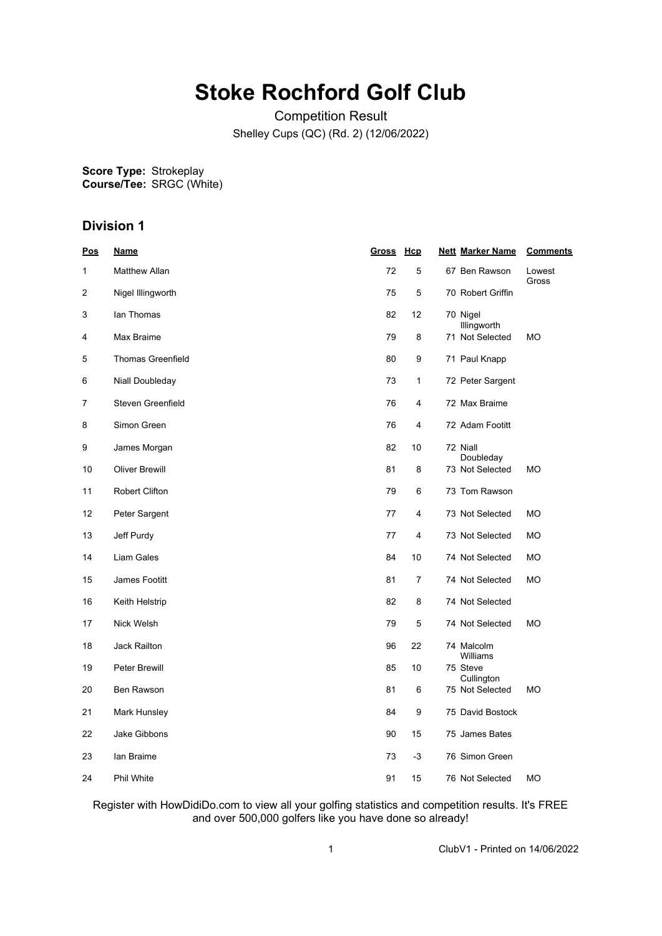## **Stoke Rochford Golf Club**

Competition Result Shelley Cups (QC) (Rd. 2) (12/06/2022)

**Score Type: Course/Tee:** Strokeplay SRGC (White)

## **Division 1**

| <u>Pos</u> | <b>Name</b>              | Gross Hcp |    | <b>Nett Marker Name</b> | <b>Comments</b> |
|------------|--------------------------|-----------|----|-------------------------|-----------------|
| 1          | <b>Matthew Allan</b>     | 72        | 5  | 67 Ben Rawson           | Lowest<br>Gross |
| 2          | Nigel Illingworth        | 75        | 5  | 70 Robert Griffin       |                 |
| 3          | lan Thomas               | 82        | 12 | 70 Nigel<br>Illingworth |                 |
| 4          | Max Braime               | 79        | 8  | 71 Not Selected         | МO              |
| 5          | <b>Thomas Greenfield</b> | 80        | 9  | 71 Paul Knapp           |                 |
| 6          | Niall Doubleday          | 73        | 1  | 72 Peter Sargent        |                 |
| 7          | Steven Greenfield        | 76        | 4  | 72 Max Braime           |                 |
| 8          | Simon Green              | 76        | 4  | 72 Adam Footitt         |                 |
| 9          | James Morgan             | 82        | 10 | 72 Niall<br>Doubleday   |                 |
| 10         | <b>Oliver Brewill</b>    | 81        | 8  | 73 Not Selected         | <b>MO</b>       |
| 11         | <b>Robert Clifton</b>    | 79        | 6  | 73 Tom Rawson           |                 |
| 12         | Peter Sargent            | 77        | 4  | 73 Not Selected         | МO              |
| 13         | Jeff Purdy               | 77        | 4  | 73 Not Selected         | <b>MO</b>       |
| 14         | <b>Liam Gales</b>        | 84        | 10 | 74 Not Selected         | MO              |
| 15         | James Footitt            | 81        | 7  | 74 Not Selected         | МO              |
| 16         | Keith Helstrip           | 82        | 8  | 74 Not Selected         |                 |
| 17         | Nick Welsh               | 79        | 5  | 74 Not Selected         | МO              |
| 18         | Jack Railton             | 96        | 22 | 74 Malcolm<br>Williams  |                 |
| 19         | <b>Peter Brewill</b>     | 85        | 10 | 75 Steve<br>Cullington  |                 |
| 20         | Ben Rawson               | 81        | 6  | 75 Not Selected         | <b>MO</b>       |
| 21         | Mark Hunsley             | 84        | 9  | 75 David Bostock        |                 |
| 22         | Jake Gibbons             | 90        | 15 | 75 James Bates          |                 |
| 23         | lan Braime               | 73        | -3 | 76 Simon Green          |                 |
| 24         | <b>Phil White</b>        | 91        | 15 | 76 Not Selected         | <b>MO</b>       |

Register with HowDidiDo.com to view all your golfing statistics and competition results. It's FREE and over 500,000 golfers like you have done so already!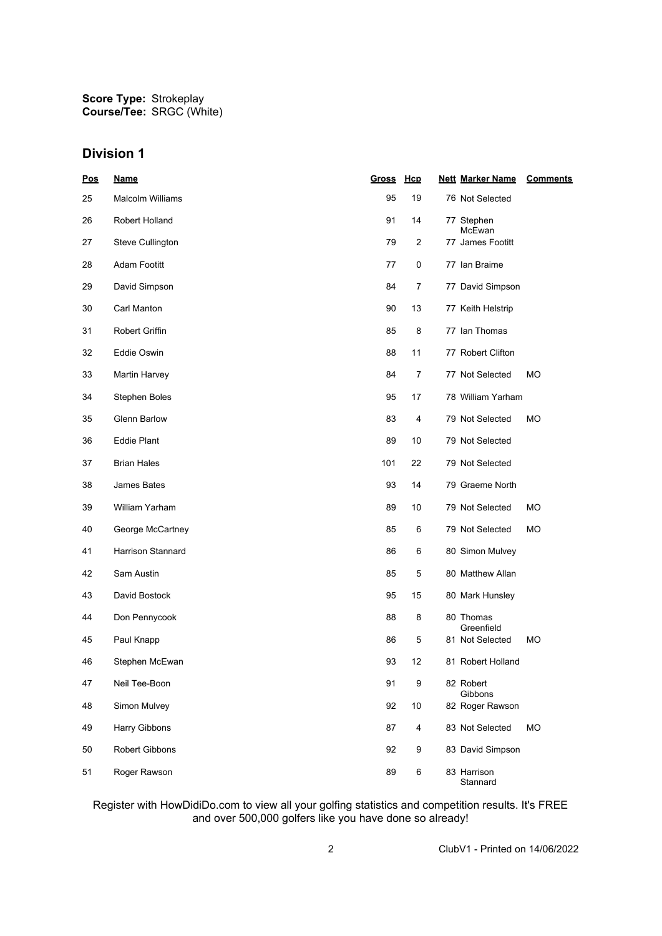**Score Type: Course/Tee:** Strokeplay SRGC (White)

## **Division 1**

| Pos | <b>Name</b>             | <b>Gross</b> | Hcp            | <b>Nett Marker Name</b> | <b>Comments</b> |
|-----|-------------------------|--------------|----------------|-------------------------|-----------------|
| 25  | <b>Malcolm Williams</b> | 95           | 19             | 76 Not Selected         |                 |
| 26  | Robert Holland          | 91           | 14             | 77 Stephen<br>McEwan    |                 |
| 27  | Steve Cullington        | 79           | $\overline{2}$ | 77 James Footitt        |                 |
| 28  | Adam Footitt            | 77           | $\pmb{0}$      | 77 Ian Braime           |                 |
| 29  | David Simpson           | 84           | 7              | 77 David Simpson        |                 |
| 30  | Carl Manton             | 90           | 13             | 77 Keith Helstrip       |                 |
| 31  | Robert Griffin          | 85           | 8              | 77 Ian Thomas           |                 |
| 32  | Eddie Oswin             | 88           | 11             | 77 Robert Clifton       |                 |
| 33  | Martin Harvey           | 84           | $\overline{7}$ | 77 Not Selected         | МO              |
| 34  | Stephen Boles           | 95           | 17             | 78 William Yarham       |                 |
| 35  | Glenn Barlow            | 83           | 4              | 79 Not Selected         | МO              |
| 36  | <b>Eddie Plant</b>      | 89           | 10             | 79 Not Selected         |                 |
| 37  | <b>Brian Hales</b>      | 101          | 22             | 79 Not Selected         |                 |
| 38  | James Bates             | 93           | 14             | 79 Graeme North         |                 |
| 39  | William Yarham          | 89           | 10             | 79 Not Selected         | МO              |
| 40  | George McCartney        | 85           | 6              | 79 Not Selected         | МO              |
| 41  | Harrison Stannard       | 86           | 6              | 80 Simon Mulvey         |                 |
| 42  | Sam Austin              | 85           | 5              | 80 Matthew Allan        |                 |
| 43  | David Bostock           | 95           | 15             | 80 Mark Hunsley         |                 |
| 44  | Don Pennycook           | 88           | 8              | 80 Thomas<br>Greenfield |                 |
| 45  | Paul Knapp              | 86           | 5              | 81 Not Selected         | МO              |
| 46  | Stephen McEwan          | 93           | 12             | 81 Robert Holland       |                 |
| 47  | Neil Tee-Boon           | 91           | 9              | 82 Robert<br>Gibbons    |                 |
| 48  | Simon Mulvey            | 92           | 10             | 82 Roger Rawson         |                 |
| 49  | Harry Gibbons           | 87           | 4              | 83 Not Selected         | <b>MO</b>       |
| 50  | <b>Robert Gibbons</b>   | 92           | 9              | 83 David Simpson        |                 |
| 51  | Roger Rawson            | 89           | 6              | 83 Harrison<br>Stannard |                 |

Register with HowDidiDo.com to view all your golfing statistics and competition results. It's FREE and over 500,000 golfers like you have done so already!